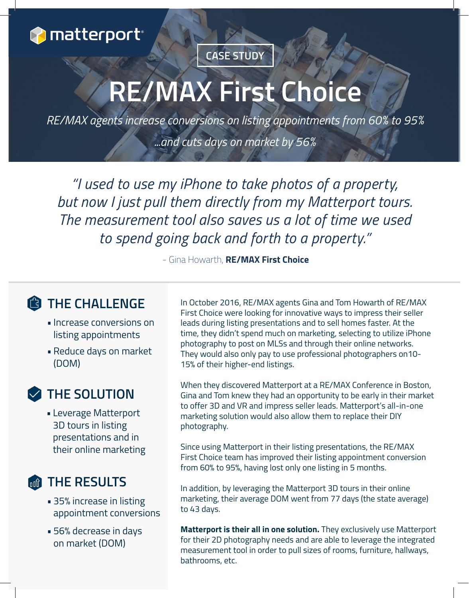

### **CASE STUDY**

# **RE/MAX First Choice**

*RE/MAX agents increase conversions on listing appointments from 60% to 95% ...and cuts days on market by 56%*

*"I used to use my iPhone to take photos of a property, but now I just pull them directly from my Matterport tours. The measurement tool also saves us a lot of time we used to spend going back and forth to a property."*

- Gina Howarth, **RE/MAX First Choice**

#### **THE CHALLENGE**

- Increase conversions on listing appointments
- Reduce days on market (DOM)

#### **THE SOLUTION**

• Leverage Matterport 3D tours in listing presentations and in their online marketing

#### **THE RESULTS**

- 35% increase in listing appointment conversions
- 56% decrease in days on market (DOM)

In October 2016, RE/MAX agents Gina and Tom Howarth of RE/MAX First Choice were looking for innovative ways to impress their seller leads during listing presentations and to sell homes faster. At the time, they didn't spend much on marketing, selecting to utilize iPhone photography to post on MLSs and through their online networks. They would also only pay to use professional photographers on10- 15% of their higher-end listings.

When they discovered Matterport at a RE/MAX Conference in Boston, Gina and Tom knew they had an opportunity to be early in their market to offer 3D and VR and impress seller leads. Matterport's all-in-one marketing solution would also allow them to replace their DIY photography.

Since using Matterport in their listing presentations, the RE/MAX First Choice team has improved their listing appointment conversion from 60% to 95%, having lost only one listing in 5 months.

In addition, by leveraging the Matterport 3D tours in their online marketing, their average DOM went from 77 days (the state average) to 43 days.

**Matterport is their all in one solution.** They exclusively use Matterport for their 2D photography needs and are able to leverage the integrated measurement tool in order to pull sizes of rooms, furniture, hallways, bathrooms, etc.